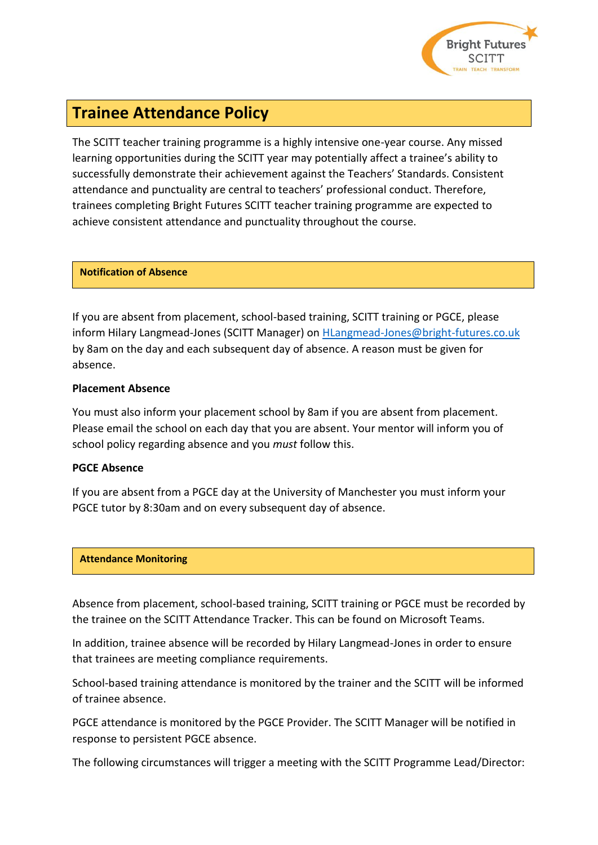

# **Trainee Attendance Policy**

The SCITT teacher training programme is a highly intensive one-year course. Any missed learning opportunities during the SCITT year may potentially affect a trainee's ability to successfully demonstrate their achievement against the Teachers' Standards. Consistent attendance and punctuality are central to teachers' professional conduct. Therefore, trainees completing Bright Futures SCITT teacher training programme are expected to achieve consistent attendance and punctuality throughout the course.

## **Notification of Absence**

If you are absent from placement, school-based training, SCITT training or PGCE, please inform Hilary Langmead-Jones (SCITT Manager) on [HLangmead-Jones@bright-futures.co.uk](mailto:Langmead-Jones@bright-futures.co.uk) by 8am on the day and each subsequent day of absence. A reason must be given for absence.

# **Placement Absence**

You must also inform your placement school by 8am if you are absent from placement. Please email the school on each day that you are absent. Your mentor will inform you of school policy regarding absence and you *must* follow this.

# **PGCE Absence**

If you are absent from a PGCE day at the University of Manchester you must inform your PGCE tutor by 8:30am and on every subsequent day of absence.

### **Attendance Monitoring**

Absence from placement, school-based training, SCITT training or PGCE must be recorded by the trainee on the SCITT Attendance Tracker. This can be found on Microsoft Teams.

In addition, trainee absence will be recorded by Hilary Langmead-Jones in order to ensure that trainees are meeting compliance requirements.

School-based training attendance is monitored by the trainer and the SCITT will be informed of trainee absence.

PGCE attendance is monitored by the PGCE Provider. The SCITT Manager will be notified in response to persistent PGCE absence.

The following circumstances will trigger a meeting with the SCITT Programme Lead/Director: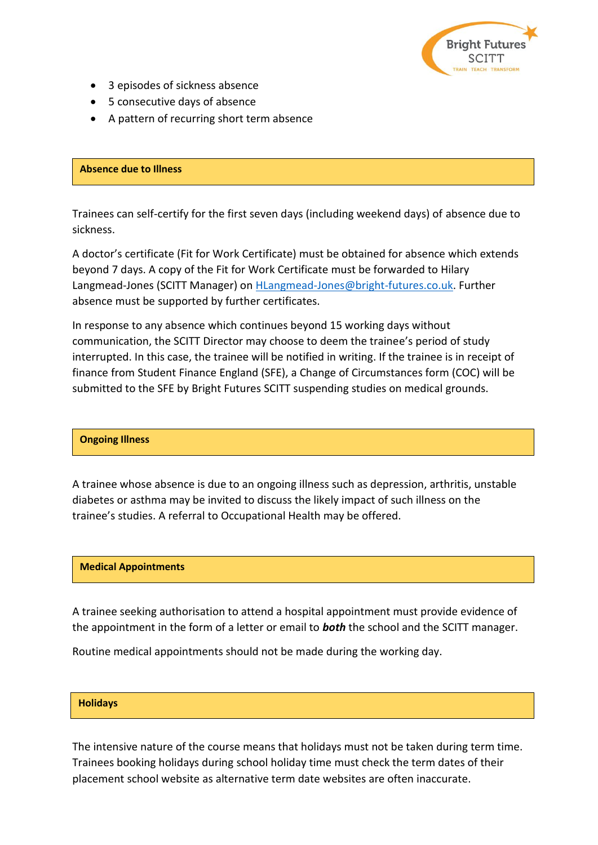

- 3 episodes of sickness absence
- 5 consecutive days of absence
- A pattern of recurring short term absence

## **Absence due to Illness**

Trainees can self-certify for the first seven days (including weekend days) of absence due to sickness.

A doctor's certificate (Fit for Work Certificate) must be obtained for absence which extends beyond 7 days. A copy of the Fit for Work Certificate must be forwarded to Hilary Langmead-Jones (SCITT Manager) on **HLangmead-Jones@bright-futures.co.uk**. Further absence must be supported by further certificates.

In response to any absence which continues beyond 15 working days without communication, the SCITT Director may choose to deem the trainee's period of study interrupted. In this case, the trainee will be notified in writing. If the trainee is in receipt of finance from Student Finance England (SFE), a Change of Circumstances form (COC) will be submitted to the SFE by Bright Futures SCITT suspending studies on medical grounds.

# **Ongoing Illness**

A trainee whose absence is due to an ongoing illness such as depression, arthritis, unstable diabetes or asthma may be invited to discuss the likely impact of such illness on the trainee's studies. A referral to Occupational Health may be offered.

# **Medical Appointments**

A trainee seeking authorisation to attend a hospital appointment must provide evidence of the appointment in the form of a letter or email to *both* the school and the SCITT manager.

Routine medical appointments should not be made during the working day.

### **Holidays**

The intensive nature of the course means that holidays must not be taken during term time. Trainees booking holidays during school holiday time must check the term dates of their placement school website as alternative term date websites are often inaccurate.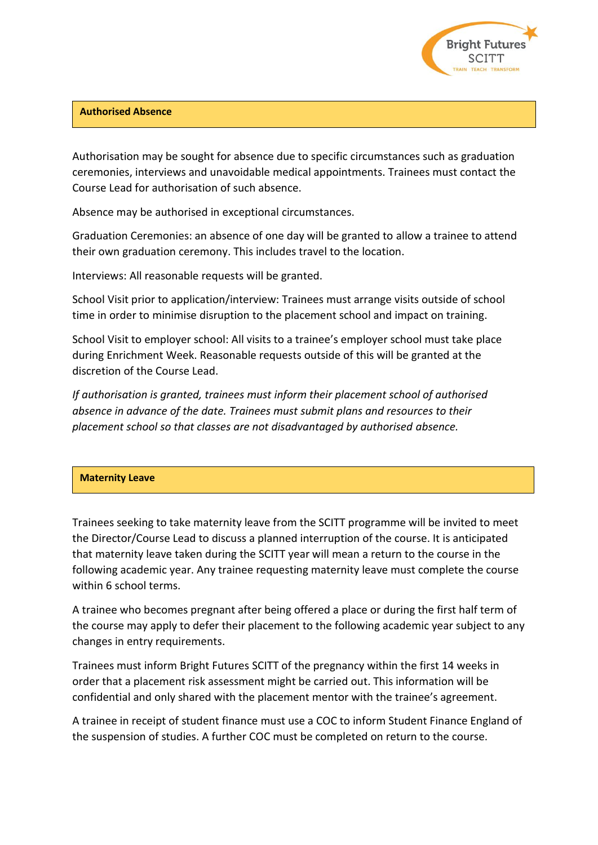

## **Authorised Absence**

Authorisation may be sought for absence due to specific circumstances such as graduation ceremonies, interviews and unavoidable medical appointments. Trainees must contact the Course Lead for authorisation of such absence.

Absence may be authorised in exceptional circumstances.

Graduation Ceremonies: an absence of one day will be granted to allow a trainee to attend their own graduation ceremony. This includes travel to the location.

Interviews: All reasonable requests will be granted.

School Visit prior to application/interview: Trainees must arrange visits outside of school time in order to minimise disruption to the placement school and impact on training.

School Visit to employer school: All visits to a trainee's employer school must take place during Enrichment Week. Reasonable requests outside of this will be granted at the discretion of the Course Lead.

*If authorisation is granted, trainees must inform their placement school of authorised absence in advance of the date. Trainees must submit plans and resources to their placement school so that classes are not disadvantaged by authorised absence.*

### **Maternity Leave**

Trainees seeking to take maternity leave from the SCITT programme will be invited to meet the Director/Course Lead to discuss a planned interruption of the course. It is anticipated that maternity leave taken during the SCITT year will mean a return to the course in the following academic year. Any trainee requesting maternity leave must complete the course within 6 school terms.

A trainee who becomes pregnant after being offered a place or during the first half term of the course may apply to defer their placement to the following academic year subject to any changes in entry requirements.

Trainees must inform Bright Futures SCITT of the pregnancy within the first 14 weeks in order that a placement risk assessment might be carried out. This information will be confidential and only shared with the placement mentor with the trainee's agreement.

A trainee in receipt of student finance must use a COC to inform Student Finance England of the suspension of studies. A further COC must be completed on return to the course.